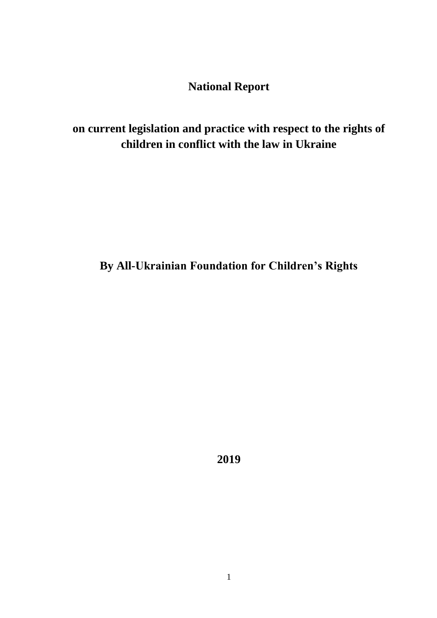**National Report**

**on current legislation and practice with respect to the rights of children in conflict with the law in Ukraine**

**By All-Ukrainian Foundation for Children's Rights**

**2019**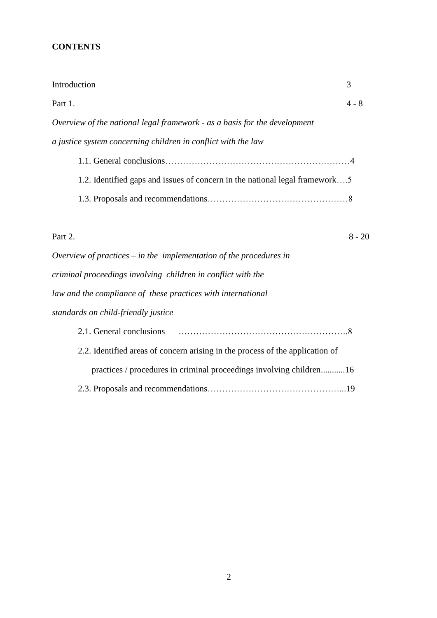# **CONTENTS**

| Introduction                                                                | 3        |
|-----------------------------------------------------------------------------|----------|
| Part 1.                                                                     | $4 - 8$  |
| Overview of the national legal framework - as a basis for the development   |          |
| a justice system concerning children in conflict with the law               |          |
|                                                                             |          |
| 1.2. Identified gaps and issues of concern in the national legal framework5 |          |
|                                                                             |          |
|                                                                             |          |
| Part 2.                                                                     | $8 - 20$ |
| Overview of practices – in the implementation of the procedures in          |          |
| criminal proceedings involving children in conflict with the                |          |
| law and the compliance of these practices with international                |          |

*standards on child-friendly justice*

| 2.2. Identified areas of concern arising in the process of the application of |  |
|-------------------------------------------------------------------------------|--|
| practices / procedures in criminal proceedings involving children16           |  |
|                                                                               |  |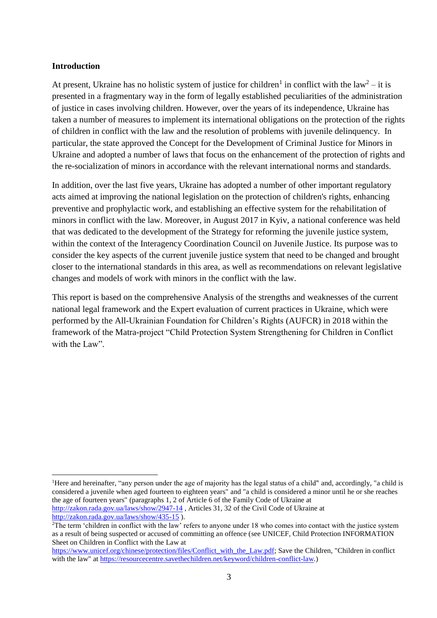#### **Introduction**

At present, Ukraine has no holistic system of justice for children<sup>1</sup> in conflict with the law<sup>2</sup> – it is presented in a fragmentary way in the form of legally established peculiarities of the administration of justice in cases involving children. However, over the years of its independence, Ukraine has taken a number of measures to implement its international obligations on the protection of the rights of children in conflict with the law and the resolution of problems with juvenile delinquency. In particular, the state approved the Concept for the Development of Criminal Justice for Minors in Ukraine and adopted a number of laws that focus on the enhancement of the protection of rights and the re-socialization of minors in accordance with the relevant international norms and standards.

In addition, over the last five years, Ukraine has adopted a number of other important regulatory acts aimed at improving the national legislation on the protection of children's rights, enhancing preventive and prophylactic work, and establishing an effective system for the rehabilitation of minors in conflict with the law. Moreover, in August 2017 in Kyiv, a national conference was held that was dedicated to the development of the Strategy for reforming the juvenile justice system, within the context of the Interagency Coordination Council on Juvenile Justice. Its purpose was to consider the key aspects of the current juvenile justice system that need to be changed and brought closer to the international standards in this area, as well as recommendations on relevant legislative changes and models of work with minors in the conflict with the law.

This report is based on the comprehensive Analysis of the strengths and weaknesses of the current national legal framework and the Expert evaluation of current practices in Ukraine, which were performed by the All-Ukrainian Foundation for Children's Rights (AUFCR) in 2018 within the framework of the Matra-project "Child Protection System Strengthening for Children in Conflict with the Law".

<http://zakon.rada.gov.ua/laws/show/435-15> ).

<sup>&</sup>lt;sup>1</sup>Here and hereinafter, "any person under the age of majority has the legal status of a child" and, accordingly, "a child is considered a juvenile when aged fourteen to eighteen years" and "a child is considered a minor until he or she reaches the age of fourteen years" (paragraphs 1, 2 of Article 6 of the Family Code of Ukraine at <http://zakon.rada.gov.ua/laws/show/2947-14> , Articles 31, 32 of the Civil Code of Ukraine at

<sup>&</sup>lt;sup>2</sup>The term 'children in conflict with the law' refers to anyone under 18 who comes into contact with the justice system as a result of being suspected or accused of committing an offence (see UNICEF, Child Protection INFORMATION Sheet on Children in Conflict with the Law at

[https://www.unicef.org/chinese/protection/files/Conflict\\_with\\_the\\_Law.pdf;](https://www.unicef.org/chinese/protection/files/Conflict_with_the_Law.pdf) Save the Children, "Children in conflict with the law" at [https://resourcecentre.savethechildren.net/keyword/children-conflict-law.](https://resourcecentre.savethechildren.net/keyword/children-conflict-law))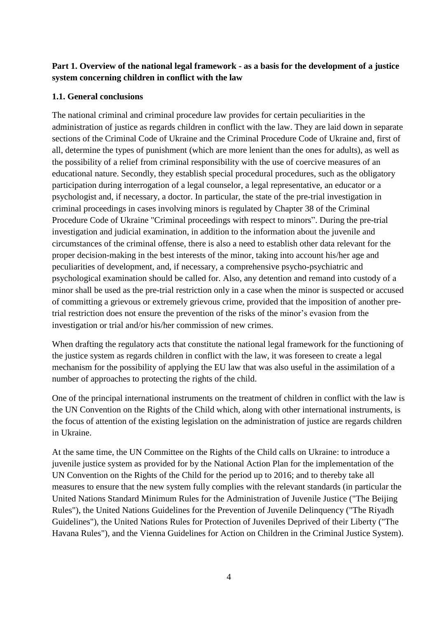## **Part 1. Overview of the national legal framework - as a basis for the development of a justice system concerning children in conflict with the law**

### **1.1. General conclusions**

The national criminal and criminal procedure law provides for certain peculiarities in the administration of justice as regards children in conflict with the law. They are laid down in separate sections of the Criminal Code of Ukraine and the Criminal Procedure Code of Ukraine and, first of all, determine the types of punishment (which are more lenient than the ones for adults), as well as the possibility of a relief from criminal responsibility with the use of coercive measures of an educational nature. Secondly, they establish special procedural procedures, such as the obligatory participation during interrogation of a legal counselor, a legal representative, an educator or a psychologist and, if necessary, a doctor. In particular, the state of the pre-trial investigation in criminal proceedings in cases involving minors is regulated by Chapter 38 of the Criminal Procedure Code of Ukraine "Criminal proceedings with respect to minors". During the pre-trial investigation and judicial examination, in addition to the information about the juvenile and circumstances of the criminal offense, there is also a need to establish other data relevant for the proper decision-making in the best interests of the minor, taking into account his/her age and peculiarities of development, and, if necessary, a comprehensive psycho-psychiatric and psychological examination should be called for. Also, any detention and remand into custody of a minor shall be used as the pre-trial restriction only in a case when the minor is suspected or accused of committing a grievous or extremely grievous crime, provided that the imposition of another pretrial restriction does not ensure the prevention of the risks of the minor's evasion from the investigation or trial and/or his/her commission of new crimes.

When drafting the regulatory acts that constitute the national legal framework for the functioning of the justice system as regards children in conflict with the law, it was foreseen to create a legal mechanism for the possibility of applying the EU law that was also useful in the assimilation of a number of approaches to protecting the rights of the child.

One of the principal international instruments on the treatment of children in conflict with the law is the UN Convention on the Rights of the Child which, along with other international instruments, is the focus of attention of the existing legislation on the administration of justice are regards children in Ukraine.

At the same time, the UN Committee on the Rights of the Child calls on Ukraine: to introduce a juvenile justice system as provided for by the National Action Plan for the implementation of the UN Convention on the Rights of the Child for the period up to 2016; and to thereby take all measures to ensure that the new system fully complies with the relevant standards (in particular the United Nations Standard Minimum Rules for the Administration of Juvenile Justice ("The Beijing Rules"), the United Nations Guidelines for the Prevention of Juvenile Delinquency ("The Riyadh Guidelines"), the United Nations Rules for Protection of Juveniles Deprived of their Liberty ("The Havana Rules"), and the Vienna Guidelines for Action on Children in the Criminal Justice System).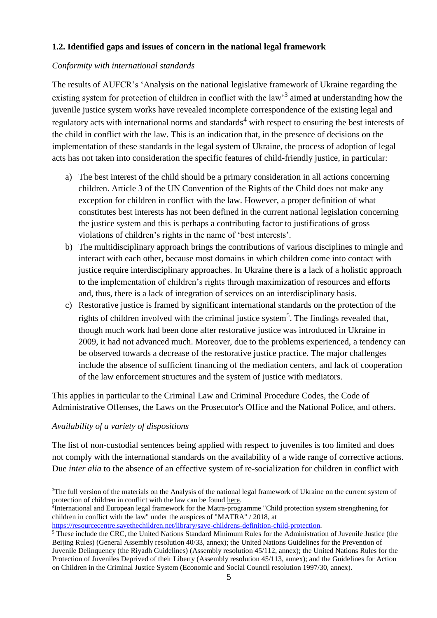### **1.2. Identified gaps and issues of concern in the national legal framework**

### *Conformity with international standards*

The results of AUFCR's 'Analysis on the national legislative framework of Ukraine regarding the existing system for protection of children in conflict with the law<sup>3</sup> aimed at understanding how the juvenile justice system works have revealed incomplete correspondence of the existing legal and regulatory acts with international norms and standards<sup>4</sup> with respect to ensuring the best interests of the child in conflict with the law. This is an indication that, in the presence of decisions on the implementation of these standards in the legal system of Ukraine, the process of adoption of legal acts has not taken into consideration the specific features of child-friendly justice, in particular:

- a) The best interest of the child should be a primary consideration in all actions concerning children. Article 3 of the UN Convention of the Rights of the Child does not make any exception for children in conflict with the law. However, a proper definition of what constitutes best interests has not been defined in the current national legislation concerning the justice system and this is perhaps a contributing factor to justifications of gross violations of children's rights in the name of 'best interests'.
- b) The multidisciplinary approach brings the contributions of various disciplines to mingle and interact with each other, because most domains in which children come into contact with justice require interdisciplinary approaches. In Ukraine there is a lack of a holistic approach to the implementation of children's rights through maximization of resources and efforts and, thus, there is a lack of integration of services on an interdisciplinary basis.
- c) Restorative justice is framed by significant international standards on the protection of the rights of children involved with the criminal justice system<sup>5</sup>. The findings revealed that, though much work had been done after restorative justice was introduced in Ukraine in 2009, it had not advanced much. Moreover, due to the problems experienced, a tendency can be observed towards a decrease of the restorative justice practice. The major challenges include the absence of sufficient financing of the mediation centers, and lack of cooperation of the law enforcement structures and the system of justice with mediators.

This applies in particular to the Criminal Law and Criminal Procedure Codes, the Code of Administrative Offenses, the Laws on the Prosecutor's Office and the National Police, and others.

#### *Availability of a variety of dispositions*

 $\overline{a}$ 

The list of non-custodial sentences being applied with respect to juveniles is too limited and does not comply with the international standards on the availability of a wide range of corrective actions. Due *inter alia* to the absence of an effective system of re-socialization for children in conflict with

4 International and European legal framework for the Matra-programme "Child protection system strengthening for children in conflict with the law" under the auspices of "MATRA" / 2018, at

<sup>&</sup>lt;sup>3</sup>The full version of the materials on the Analysis of the national legal framework of Ukraine on the current system of protection of children in conflict with the law can be found here.

[https://resourcecentre.savethechildren.net/library/save-childrens-definition-child-protection.](https://resourcecentre.savethechildren.net/library/save-childrens-definition-child-protection) 

<sup>5</sup> These include the CRC, the United Nations Standard Minimum Rules for the Administration of Juvenile Justice (the Beijing Rules) (General Assembly resolution 40/33, annex); the United Nations Guidelines for the Prevention of Juvenile Delinquency (the Riyadh Guidelines) (Assembly resolution 45/112, annex); the United Nations Rules for the Protection of Juveniles Deprived of their Liberty (Assembly resolution 45/113, annex); and the Guidelines for Action on Children in the Criminal Justice System (Economic and Social Council resolution 1997/30, annex).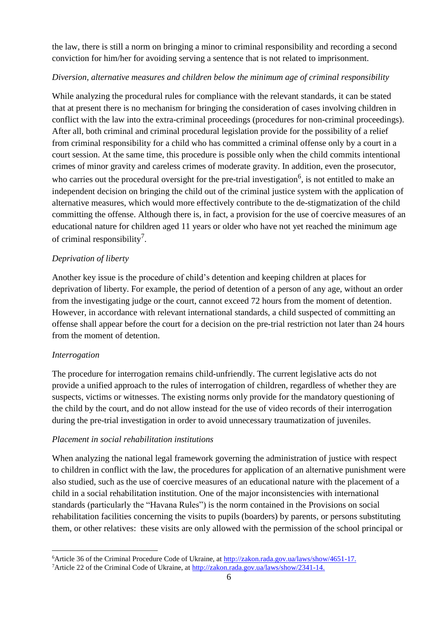the law, there is still a norm on bringing a minor to criminal responsibility and recording a second conviction for him/her for avoiding serving a sentence that is not related to imprisonment.

## *Diversion, alternative measures and children below the minimum age of criminal responsibility*

While analyzing the procedural rules for compliance with the relevant standards, it can be stated that at present there is no mechanism for bringing the consideration of cases involving children in conflict with the law into the extra-criminal proceedings (procedures for non-criminal proceedings). After all, both criminal and criminal procedural legislation provide for the possibility of a relief from criminal responsibility for a child who has committed a criminal offense only by a court in a court session. At the same time, this procedure is possible only when the child commits intentional crimes of minor gravity and careless crimes of moderate gravity. In addition, even the prosecutor, who carries out the procedural oversight for the pre-trial investigation<sup>6</sup>, is not entitled to make an independent decision on bringing the child out of the criminal justice system with the application of alternative measures, which would more effectively contribute to the de-stigmatization of the child committing the offense. Although there is, in fact, a provision for the use of coercive measures of an educational nature for children aged 11 years or older who have not yet reached the minimum age of criminal responsibility<sup>7</sup>.

# *Deprivation of liberty*

Another key issue is the procedure of child's detention and keeping children at places for deprivation of liberty. For example, the period of detention of a person of any age, without an order from the investigating judge or the court, cannot exceed 72 hours from the moment of detention. However, in accordance with relevant international standards, a child suspected of committing an offense shall appear before the court for a decision on the pre-trial restriction not later than 24 hours from the moment of detention.

## *Interrogation*

The procedure for interrogation remains child-unfriendly. The current legislative acts do not provide a unified approach to the rules of interrogation of children, regardless of whether they are suspects, victims or witnesses. The existing norms only provide for the mandatory questioning of the child by the court, and do not allow instead for the use of video records of their interrogation during the pre-trial investigation in order to avoid unnecessary traumatization of juveniles.

## *Placement in social rehabilitation institutions*

When analyzing the national legal framework governing the administration of justice with respect to children in conflict with the law, the procedures for application of an alternative punishment were also studied, such as the use of coercive measures of an educational nature with the placement of a child in a social rehabilitation institution. One of the major inconsistencies with international standards (particularly the "Havana Rules") is the norm contained in the Provisions on social rehabilitation facilities concerning the visits to pupils (boarders) by parents, or persons substituting them, or other relatives: these visits are only allowed with the permission of the school principal or

 $\overline{a}$ <sup>6</sup>Article 36 of the Criminal Procedure Code of Ukraine, at [http://zakon.rada.gov.ua/laws/show/4651-17.](http://zakon.rada.gov.ua/laws/show/4651-17)

<sup>7</sup>Article 22 of the Criminal Code of Ukraine, at [http://zakon.rada.gov.ua/laws/show/2341-14.](http://zakon.rada.gov.ua/laws/show/2341-14)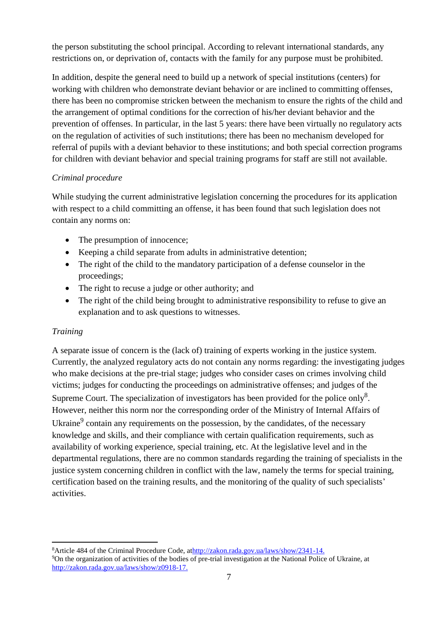the person substituting the school principal. According to relevant international standards, any restrictions on, or deprivation of, contacts with the family for any purpose must be prohibited.

In addition, despite the general need to build up a network of special institutions (centers) for working with children who demonstrate deviant behavior or are inclined to committing offenses, there has been no compromise stricken between the mechanism to ensure the rights of the child and the arrangement of optimal conditions for the correction of his/her deviant behavior and the prevention of offenses. In particular, in the last 5 years: there have been virtually no regulatory acts on the regulation of activities of such institutions; there has been no mechanism developed for referral of pupils with a deviant behavior to these institutions; and both special correction programs for children with deviant behavior and special training programs for staff are still not available.

## *Criminal procedure*

While studying the current administrative legislation concerning the procedures for its application with respect to a child committing an offense, it has been found that such legislation does not contain any norms on:

- The presumption of innocence;
- Keeping a child separate from adults in administrative detention;
- The right of the child to the mandatory participation of a defense counselor in the proceedings;
- The right to recuse a judge or other authority; and
- The right of the child being brought to administrative responsibility to refuse to give an explanation and to ask questions to witnesses.

## *Training*

 $\overline{a}$ 

A separate issue of concern is the (lack of) training of experts working in the justice system. Currently, the analyzed regulatory acts do not contain any norms regarding: the investigating judges who make decisions at the pre-trial stage; judges who consider cases on crimes involving child victims; judges for conducting the proceedings on administrative offenses; and judges of the Supreme Court. The specialization of investigators has been provided for the police only<sup>8</sup>. However, neither this norm nor the corresponding order of the Ministry of Internal Affairs of Ukraine<sup>9</sup> contain any requirements on the possession, by the candidates, of the necessary knowledge and skills, and their compliance with certain qualification requirements, such as availability of working experience, special training, etc. At the legislative level and in the departmental regulations, there are no common standards regarding the training of specialists in the justice system concerning children in conflict with the law, namely the terms for special training, certification based on the training results, and the monitoring of the quality of such specialists' activities.

<sup>8</sup>Article 484 of the Criminal Procedure Code, a[thttp://zakon.rada.gov.ua/laws/show/2341-14.](http://zakon.rada.gov.ua/laws/show/2341-14) <sup>9</sup>On the organization of activities of the bodies of pre-trial investigation at the National Police of Ukraine, at [http://zakon.rada.gov.ua/laws/show/z0918-17.](http://zakon.rada.gov.ua/laws/show/z0918-17)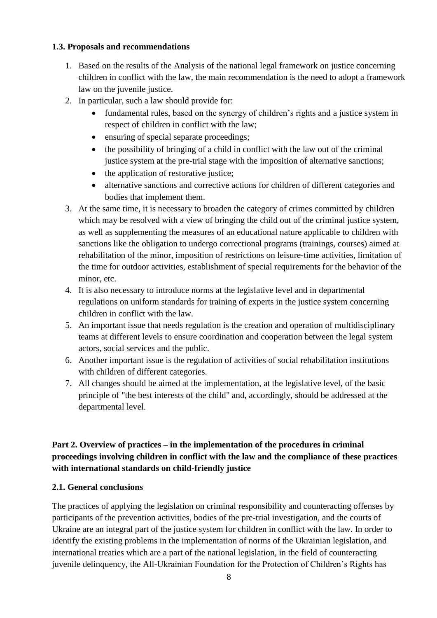### **1.3. Proposals and recommendations**

- 1. Based on the results of the Analysis of the national legal framework on justice concerning children in conflict with the law, the main recommendation is the need to adopt a framework law on the juvenile justice.
- 2. In particular, such a law should provide for:
	- fundamental rules, based on the synergy of children's rights and a justice system in respect of children in conflict with the law;
	- ensuring of special separate proceedings;
	- the possibility of bringing of a child in conflict with the law out of the criminal justice system at the pre-trial stage with the imposition of alternative sanctions;
	- the application of restorative justice;
	- alternative sanctions and corrective actions for children of different categories and bodies that implement them.
- 3. At the same time, it is necessary to broaden the category of crimes committed by children which may be resolved with a view of bringing the child out of the criminal justice system, as well as supplementing the measures of an educational nature applicable to children with sanctions like the obligation to undergo correctional programs (trainings, courses) aimed at rehabilitation of the minor, imposition of restrictions on leisure-time activities, limitation of the time for outdoor activities, establishment of special requirements for the behavior of the minor, etc.
- 4. It is also necessary to introduce norms at the legislative level and in departmental regulations on uniform standards for training of experts in the justice system concerning children in conflict with the law.
- 5. An important issue that needs regulation is the creation and operation of multidisciplinary teams at different levels to ensure coordination and cooperation between the legal system actors, social services and the public.
- 6. Another important issue is the regulation of activities of social rehabilitation institutions with children of different categories.
- 7. All changes should be aimed at the implementation, at the legislative level, of the basic principle of "the best interests of the child" and, accordingly, should be addressed at the departmental level.

# **Part 2. Overview of practices – in the implementation of the procedures in criminal proceedings involving children in conflict with the law and the compliance of these practices with international standards on child-friendly justice**

## **2.1. General conclusions**

The practices of applying the legislation on criminal responsibility and counteracting offenses by participants of the prevention activities, bodies of the pre-trial investigation, and the courts of Ukraine are an integral part of the justice system for children in conflict with the law. In order to identify the existing problems in the implementation of norms of the Ukrainian legislation, and international treaties which are a part of the national legislation, in the field of counteracting juvenile delinquency, the All-Ukrainian Foundation for the Protection of Children's Rights has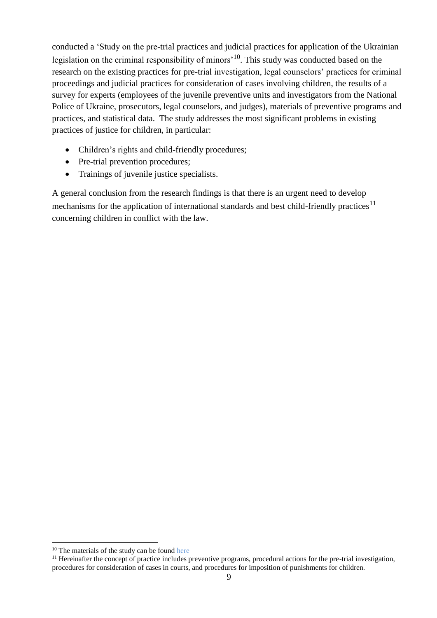conducted a 'Study on the pre-trial practices and judicial practices for application of the Ukrainian legislation on the criminal responsibility of minors<sup> $10$ </sup>. This study was conducted based on the research on the existing practices for pre-trial investigation, legal counselors' practices for criminal proceedings and judicial practices for consideration of cases involving children, the results of a survey for experts (employees of the juvenile preventive units and investigators from the National Police of Ukraine, prosecutors, legal counselors, and judges), materials of preventive programs and practices, and statistical data. The study addresses the most significant problems in existing practices of justice for children, in particular:

- Children's rights and child-friendly procedures;
- Pre-trial prevention procedures;
- Trainings of juvenile justice specialists.

A general conclusion from the research findings is that there is an urgent need to develop mechanisms for the application of international standards and best child-friendly practices<sup>11</sup> concerning children in conflict with the law.

<sup>&</sup>lt;sup>10</sup> The materials of the study can be found here

<sup>&</sup>lt;sup>11</sup> Hereinafter the concept of practice includes preventive programs, procedural actions for the pre-trial investigation, procedures for consideration of cases in courts, and procedures for imposition of punishments for children.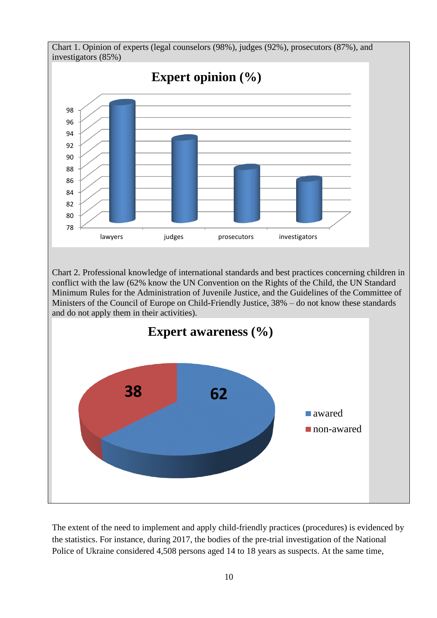

The extent of the need to implement and apply child-friendly practices (procedures) is evidenced by the statistics. For instance, during 2017, the bodies of the pre-trial investigation of the National Police of Ukraine considered 4,508 persons aged 14 to 18 years as suspects. At the same time,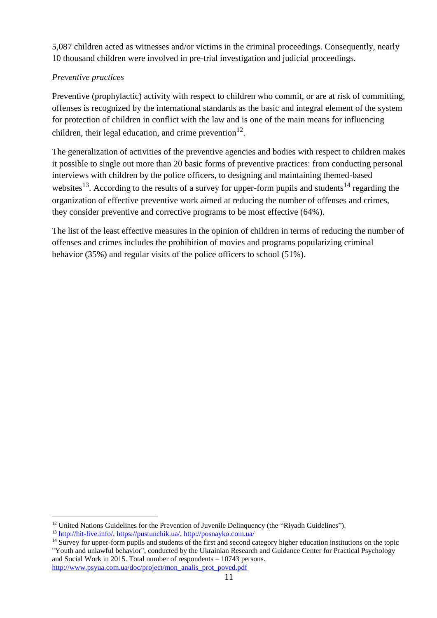5,087 children acted as witnesses and/or victims in the criminal proceedings. Consequently, nearly 10 thousand children were involved in pre-trial investigation and judicial proceedings.

# *Preventive practices*

Preventive (prophylactic) activity with respect to children who commit, or are at risk of committing, offenses is recognized by the international standards as the basic and integral element of the system for protection of children in conflict with the law and is one of the main means for influencing children, their legal education, and crime prevention $^{12}$ .

The generalization of activities of the preventive agencies and bodies with respect to children makes it possible to single out more than 20 basic forms of preventive practices: from conducting personal interviews with children by the police officers, to designing and maintaining themed-based websites<sup>13</sup>. According to the results of a survey for upper-form pupils and students<sup>14</sup> regarding the organization of effective preventive work aimed at reducing the number of offenses and crimes, they consider preventive and corrective programs to be most effective (64%).

The list of the least effective measures in the opinion of children in terms of reducing the number of offenses and crimes includes the prohibition of movies and programs popularizing criminal behavior (35%) and regular visits of the police officers to school (51%).

<sup>&</sup>lt;sup>12</sup> United Nations Guidelines for the Prevention of Juvenile Delinquency (the "Riyadh Guidelines").

<sup>13</sup> [http://hit-live.info/,](http://hit-live.info/) [https://pustunchik.ua/,](https://pustunchik.ua/)<http://posnayko.com.ua/>

<sup>&</sup>lt;sup>14</sup> Survey for upper-form pupils and students of the first and second category higher education institutions on the topic "Youth and unlawful behavior", conducted by the Ukrainian Research and Guidance Center for Practical Psychology and Social Work in 2015. Total number of respondents – 10743 persons. [http://www.psyua.com.ua/doc/project/mon\\_analis\\_prot\\_poved.pdf](http://www.psyua.com.ua/doc/project/mon_analis_prot_poved.pdf)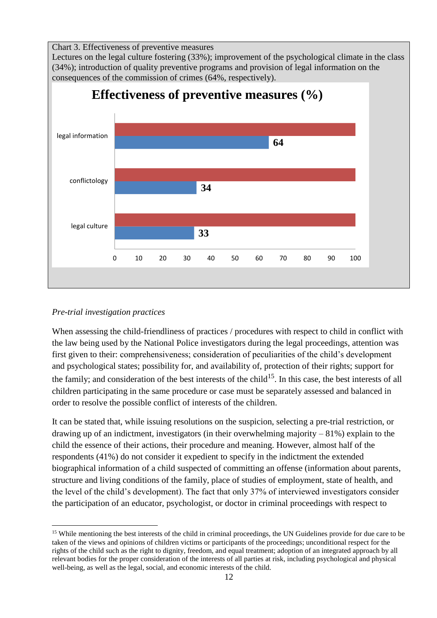Chart 3. Effectiveness of preventive measures

Lectures on the legal culture fostering (33%); improvement of the psychological climate in the class (34%); introduction of quality preventive programs and provision of legal information on the consequences of the commission of crimes (64%, respectively).



### *Pre-trial investigation practices*

When assessing the child-friendliness of practices / procedures with respect to child in conflict with the law being used by the National Police investigators during the legal proceedings, attention was first given to their: comprehensiveness; consideration of peculiarities of the child's development and psychological states; possibility for, and availability of, protection of their rights; support for the family; and consideration of the best interests of the child<sup>15</sup>. In this case, the best interests of all children participating in the same procedure or case must be separately assessed and balanced in order to resolve the possible conflict of interests of the children.

It can be stated that, while issuing resolutions on the suspicion, selecting a pre-trial restriction, or drawing up of an indictment, investigators (in their overwhelming majority  $-81\%$ ) explain to the child the essence of their actions, their procedure and meaning. However, almost half of the respondents (41%) do not consider it expedient to specify in the indictment the extended biographical information of a child suspected of committing an offense (information about parents, structure and living conditions of the family, place of studies of employment, state of health, and the level of the child's development). The fact that only 37% of interviewed investigators consider the participation of an educator, psychologist, or doctor in criminal proceedings with respect to

 $\overline{a}$ <sup>15</sup> While mentioning the best interests of the child in criminal proceedings, the UN Guidelines provide for due care to be taken of the views and opinions of children victims or participants of the proceedings; unconditional respect for the rights of the child such as the right to dignity, freedom, and equal treatment; adoption of an integrated approach by all relevant bodies for the proper consideration of the interests of all parties at risk, including psychological and physical well-being, as well as the legal, social, and economic interests of the child.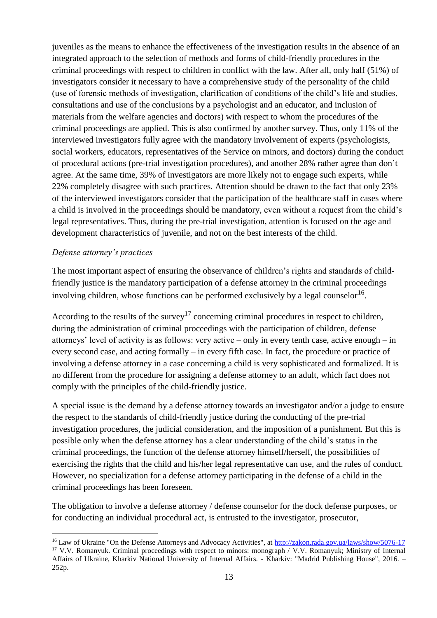juveniles as the means to enhance the effectiveness of the investigation results in the absence of an integrated approach to the selection of methods and forms of child-friendly procedures in the criminal proceedings with respect to children in conflict with the law. After all, only half (51%) of investigators consider it necessary to have a comprehensive study of the personality of the child (use of forensic methods of investigation, clarification of conditions of the child's life and studies, consultations and use of the conclusions by a psychologist and an educator, and inclusion of materials from the welfare agencies and doctors) with respect to whom the procedures of the criminal proceedings are applied. This is also confirmed by another survey. Thus, only 11% of the interviewed investigators fully agree with the mandatory involvement of experts (psychologists, social workers, educators, representatives of the Service on minors, and doctors) during the conduct of procedural actions (pre-trial investigation procedures), and another 28% rather agree than don't agree. At the same time, 39% of investigators are more likely not to engage such experts, while 22% completely disagree with such practices. Attention should be drawn to the fact that only 23% of the interviewed investigators consider that the participation of the healthcare staff in cases where a child is involved in the proceedings should be mandatory, even without a request from the child's legal representatives. Thus, during the pre-trial investigation, attention is focused on the age and development characteristics of juvenile, and not on the best interests of the child.

#### *Defense attorney's practices*

 $\overline{a}$ 

The most important aspect of ensuring the observance of children's rights and standards of childfriendly justice is the mandatory participation of a defense attorney in the criminal proceedings involving children, whose functions can be performed exclusively by a legal counselor<sup>16</sup>.

According to the results of the survey<sup>17</sup> concerning criminal procedures in respect to children, during the administration of criminal proceedings with the participation of children, defense attorneys' level of activity is as follows: very active – only in every tenth case, active enough – in every second case, and acting formally – in every fifth case. In fact, the procedure or practice of involving a defense attorney in a case concerning a child is very sophisticated and formalized. It is no different from the procedure for assigning a defense attorney to an adult, which fact does not comply with the principles of the child-friendly justice.

A special issue is the demand by a defense attorney towards an investigator and/or a judge to ensure the respect to the standards of child-friendly justice during the conducting of the pre-trial investigation procedures, the judicial consideration, and the imposition of a punishment. But this is possible only when the defense attorney has a clear understanding of the child's status in the criminal proceedings, the function of the defense attorney himself/herself, the possibilities of exercising the rights that the child and his/her legal representative can use, and the rules of conduct. However, no specialization for a defense attorney participating in the defense of a child in the criminal proceedings has been foreseen.

The obligation to involve a defense attorney / defense counselor for the dock defense purposes, or for conducting an individual procedural act, is entrusted to the investigator, prosecutor,

<sup>&</sup>lt;sup>16</sup> Law of Ukraine "On the Defense Attorneys and Advocacy Activities", at<http://zakon.rada.gov.ua/laws/show/5076-17> <sup>17</sup> V.V. Romanyuk. Criminal proceedings with respect to minors: monograph / V.V. Romanyuk; Ministry of Internal Affairs of Ukraine, Kharkiv National University of Internal Affairs. - Kharkiv: "Madrid Publishing House", 2016. – 252p.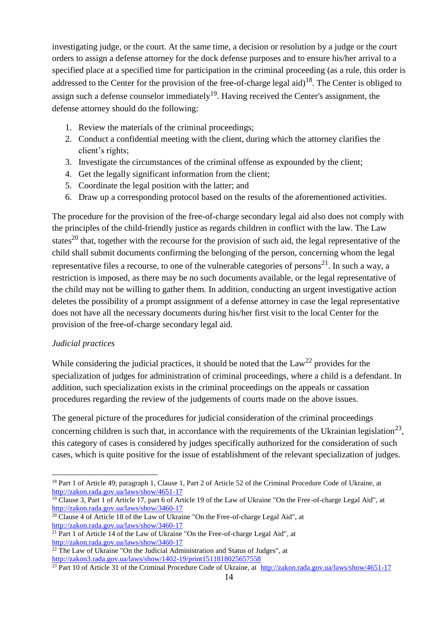investigating judge, or the court. At the same time, a decision or resolution by a judge or the court orders to assign a defense attorney for the dock defense purposes and to ensure his/her arrival to a specified place at a specified time for participation in the criminal proceeding (as a rule, this order is addressed to the Center for the provision of the free-of-charge legal aid)<sup>18</sup>. The Center is obliged to assign such a defense counselor immediately<sup>19</sup>. Having received the Center's assignment, the defense attorney should do the following:

- 1. Review the materials of the criminal proceedings;
- 2. Conduct a confidential meeting with the client, during which the attorney clarifies the client's rights;
- 3. Investigate the circumstances of the criminal offense as expounded by the client;
- 4. Get the legally significant information from the client;
- 5. Coordinate the legal position with the latter; and
- 6. Draw up a corresponding protocol based on the results of the aforementioned activities.

The procedure for the provision of the free-of-charge secondary legal aid also does not comply with the principles of the child-friendly justice as regards children in conflict with the law. The Law states<sup>20</sup> that, together with the recourse for the provision of such aid, the legal representative of the child shall submit documents confirming the belonging of the person, concerning whom the legal representative files a recourse, to one of the vulnerable categories of persons<sup>21</sup>. In such a way, a restriction is imposed, as there may be no such documents available, or the legal representative of the child may not be willing to gather them. In addition, conducting an urgent investigative action deletes the possibility of a prompt assignment of a defense attorney in case the legal representative does not have all the necessary documents during his/her first visit to the local Center for the provision of the free-of-charge secondary legal aid.

## *Judicial practices*

While considering the judicial practices, it should be noted that the  $Law^{22}$  provides for the specialization of judges for administration of criminal proceedings, where a child is a defendant. In addition, such specialization exists in the criminal proceedings on the appeals or cassation procedures regarding the review of the judgements of courts made on the above issues.

The general picture of the procedures for judicial consideration of the criminal proceedings concerning children is such that, in accordance with the requirements of the Ukrainian legislation<sup>23</sup>, this category of cases is considered by judges specifically authorized for the consideration of such cases, which is quite positive for the issue of establishment of the relevant specialization of judges.

 $\overline{a}$ <sup>18</sup> Part 1 of Article 49; paragraph 1, Clause 1, Part 2 of Article 52 of the Criminal Procedure Code of Ukraine, at <http://zakon.rada.gov.ua/laws/show/4651-17>

<sup>&</sup>lt;sup>19</sup> Clause 3, Part 1 of Article 17, part 6 of Article 19 of the Law of Ukraine "On the Free-of-charge Legal Aid", at <http://zakon.rada.gov.ua/laws/show/3460-17>

 $20$  Clause 4 of Article 18 of the Law of Ukraine "On the Free-of-charge Legal Aid", at <http://zakon.rada.gov.ua/laws/show/3460-17>

 $21$  Part 1 of Article 14 of the Law of Ukraine "On the Free-of-charge Legal Aid", at <http://zakon.rada.gov.ua/laws/show/3460-17>

 $\frac{22 \text{ The Law of Ukraine "On the Judicial Administration and Status of Judges", at }$ <http://zakon3.rada.gov.ua/laws/show/1402-19/print1511818025657558>

 $23$  Part 10 of Article 31 of the Criminal Procedure Code of Ukraine, at http://zakon.rada.gov.ua/laws/show/4651-17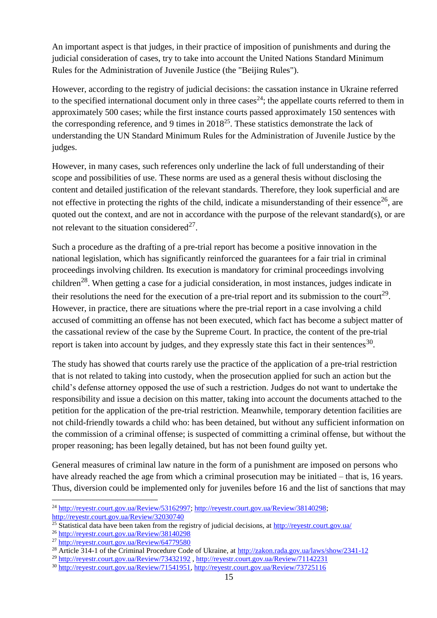An important aspect is that judges, in their practice of imposition of punishments and during the judicial consideration of cases, try to take into account the United Nations Standard Minimum Rules for the Administration of Juvenile Justice (the "Beijing Rules").

However, according to the registry of judicial decisions: the cassation instance in Ukraine referred to the specified international document only in three cases<sup>24</sup>; the appellate courts referred to them in approximately 500 cases; while the first instance courts passed approximately 150 sentences with the corresponding reference, and 9 times in  $2018^{25}$ . These statistics demonstrate the lack of understanding the UN Standard Minimum Rules for the Administration of Juvenile Justice by the judges.

However, in many cases, such references only underline the lack of full understanding of their scope and possibilities of use. These norms are used as a general thesis without disclosing the content and detailed justification of the relevant standards. Therefore, they look superficial and are not effective in protecting the rights of the child, indicate a misunderstanding of their essence<sup>26</sup>, are quoted out the context, and are not in accordance with the purpose of the relevant standard(s), or are not relevant to the situation considered<sup>27</sup>.

Such a procedure as the drafting of a pre-trial report has become a positive innovation in the national legislation, which has significantly reinforced the guarantees for a fair trial in criminal proceedings involving children. Its execution is mandatory for criminal proceedings involving children<sup>28</sup>. When getting a case for a judicial consideration, in most instances, judges indicate in their resolutions the need for the execution of a pre-trial report and its submission to the court<sup>29</sup>. However, in practice, there are situations where the pre-trial report in a case involving a child accused of committing an offense has not been executed, which fact has become a subject matter of the cassational review of the case by the Supreme Court. In practice, the content of the pre-trial report is taken into account by judges, and they expressly state this fact in their sentences<sup>30</sup>.

The study has showed that courts rarely use the practice of the application of a pre-trial restriction that is not related to taking into custody, when the prosecution applied for such an action but the child's defense attorney opposed the use of such a restriction. Judges do not want to undertake the responsibility and issue a decision on this matter, taking into account the documents attached to the petition for the application of the pre-trial restriction. Meanwhile, temporary detention facilities are not child-friendly towards a child who: has been detained, but without any sufficient information on the commission of a criminal offense; is suspected of committing a criminal offense, but without the proper reasoning; has been legally detained, but has not been found guilty yet.

General measures of criminal law nature in the form of a punishment are imposed on persons who have already reached the age from which a criminal prosecution may be initiated – that is, 16 years. Thus, diversion could be implemented only for juveniles before 16 and the list of sanctions that may

<sup>&</sup>lt;sup>24</sup> [http://reyestr.court.gov.ua/Review/53162997;](http://reyestr.court.gov.ua/Review/53162997) [http://reyestr.court.gov.ua/Review/38140298;](http://reyestr.court.gov.ua/Review/38140298)

<http://reyestr.court.gov.ua/Review/32030740>

<sup>&</sup>lt;sup>25</sup> Statistical data have been taken from the registry of judicial decisions, at<http://reyestr.court.gov.ua/>

<sup>26</sup> <http://reyestr.court.gov.ua/Review/38140298>

<sup>27</sup> <http://reyestr.court.gov.ua/Review/64779580>

<sup>&</sup>lt;sup>28</sup> Article 314-1 of the Criminal Procedure Code of Ukraine, at<http://zakon.rada.gov.ua/laws/show/2341-12>

<sup>29</sup> <http://reyestr.court.gov.ua/Review/73432192> ,<http://reyestr.court.gov.ua/Review/71142231>

<sup>30</sup> [http://reyestr.court.gov.ua/Review/71541951,](http://reyestr.court.gov.ua/Review/71541951)<http://reyestr.court.gov.ua/Review/73725116>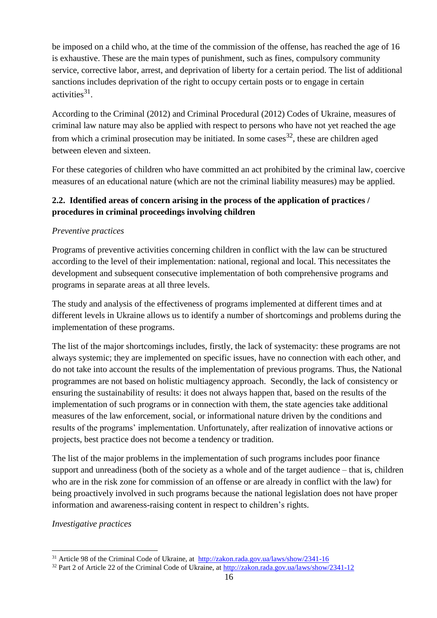be imposed on a child who, at the time of the commission of the offense, has reached the age of 16 is exhaustive. These are the main types of punishment, such as fines, compulsory community service, corrective labor, arrest, and deprivation of liberty for a certain period. The list of additional sanctions includes deprivation of the right to occupy certain posts or to engage in certain activities<sup>31</sup>.

According to the Criminal (2012) and Criminal Procedural (2012) Codes of Ukraine, measures of criminal law nature may also be applied with respect to persons who have not yet reached the age from which a criminal prosecution may be initiated. In some cases  $32$ , these are children aged between eleven and sixteen.

For these categories of children who have committed an act prohibited by the criminal law, coercive measures of an educational nature (which are not the criminal liability measures) may be applied.

# **2.2. Identified areas of concern arising in the process of the application of practices / procedures in criminal proceedings involving children**

## *Preventive practices*

Programs of preventive activities concerning children in conflict with the law can be structured according to the level of their implementation: national, regional and local. This necessitates the development and subsequent consecutive implementation of both comprehensive programs and programs in separate areas at all three levels.

The study and analysis of the effectiveness of programs implemented at different times and at different levels in Ukraine allows us to identify a number of shortcomings and problems during the implementation of these programs.

The list of the major shortcomings includes, firstly, the lack of systemacity: these programs are not always systemic; they are implemented on specific issues, have no connection with each other, and do not take into account the results of the implementation of previous programs. Thus, the National programmes are not based on holistic multiagency approach. Secondly, the lack of consistency or ensuring the sustainability of results: it does not always happen that, based on the results of the implementation of such programs or in connection with them, the state agencies take additional measures of the law enforcement, social, or informational nature driven by the conditions and results of the programs' implementation. Unfortunately, after realization of innovative actions or projects, best practice does not become a tendency or tradition.

The list of the major problems in the implementation of such programs includes poor finance support and unreadiness (both of the society as a whole and of the target audience – that is, children who are in the risk zone for commission of an offense or are already in conflict with the law) for being proactively involved in such programs because the national legislation does not have proper information and awareness-raising content in respect to children's rights.

## *Investigative practices*

<sup>31</sup> Article 98 of the Criminal Code of Ukraine, at <http://zakon.rada.gov.ua/laws/show/2341-16>

<sup>32</sup> Part 2 of Article 22 of the Criminal Code of Ukraine, at<http://zakon.rada.gov.ua/laws/show/2341-12>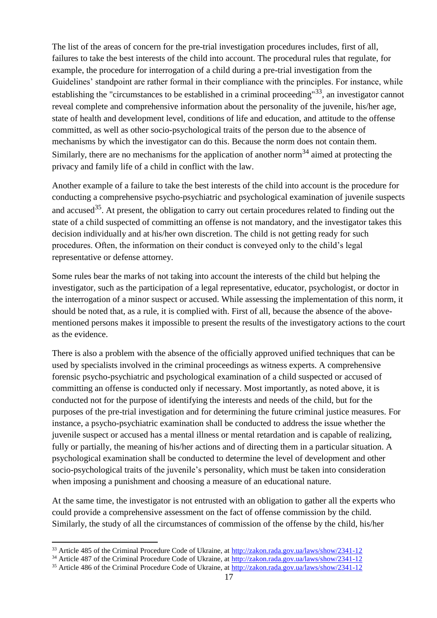The list of the areas of concern for the pre-trial investigation procedures includes, first of all, failures to take the best interests of the child into account. The procedural rules that regulate, for example, the procedure for interrogation of a child during a pre-trial investigation from the Guidelines' standpoint are rather formal in their compliance with the principles. For instance, while establishing the "circumstances to be established in a criminal proceeding"<sup>33</sup>, an investigator cannot reveal complete and comprehensive information about the personality of the juvenile, his/her age, state of health and development level, conditions of life and education, and attitude to the offense committed, as well as other socio-psychological traits of the person due to the absence of mechanisms by which the investigator can do this. Because the norm does not contain them. Similarly, there are no mechanisms for the application of another norm<sup>34</sup> aimed at protecting the privacy and family life of a child in conflict with the law.

Another example of a failure to take the best interests of the child into account is the procedure for conducting a comprehensive psycho-psychiatric and psychological examination of juvenile suspects and accused<sup>35</sup>. At present, the obligation to carry out certain procedures related to finding out the state of a child suspected of committing an offense is not mandatory, and the investigator takes this decision individually and at his/her own discretion. The child is not getting ready for such procedures. Often, the information on their conduct is conveyed only to the child's legal representative or defense attorney.

Some rules bear the marks of not taking into account the interests of the child but helping the investigator, such as the participation of a legal representative, educator, psychologist, or doctor in the interrogation of a minor suspect or accused. While assessing the implementation of this norm, it should be noted that, as a rule, it is complied with. First of all, because the absence of the abovementioned persons makes it impossible to present the results of the investigatory actions to the court as the evidence.

There is also a problem with the absence of the officially approved unified techniques that can be used by specialists involved in the criminal proceedings as witness experts. A comprehensive forensic psycho-psychiatric and psychological examination of a child suspected or accused of committing an offense is conducted only if necessary. Most importantly, as noted above, it is conducted not for the purpose of identifying the interests and needs of the child, but for the purposes of the pre-trial investigation and for determining the future criminal justice measures. For instance, a psycho-psychiatric examination shall be conducted to address the issue whether the juvenile suspect or accused has a mental illness or mental retardation and is capable of realizing, fully or partially, the meaning of his/her actions and of directing them in a particular situation. A psychological examination shall be conducted to determine the level of development and other socio-psychological traits of the juvenile's personality, which must be taken into consideration when imposing a punishment and choosing a measure of an educational nature.

At the same time, the investigator is not entrusted with an obligation to gather all the experts who could provide a comprehensive assessment on the fact of offense commission by the child. Similarly, the study of all the circumstances of commission of the offense by the child, his/her

 $\overline{a}$ <sup>33</sup> Article 485 of the Criminal Procedure Code of Ukraine, at<http://zakon.rada.gov.ua/laws/show/2341-12>

<sup>34</sup> Article 487 of the Criminal Procedure Code of Ukraine, at<http://zakon.rada.gov.ua/laws/show/2341-12>

<sup>35</sup> Article 486 of the Criminal Procedure Code of Ukraine, at<http://zakon.rada.gov.ua/laws/show/2341-12>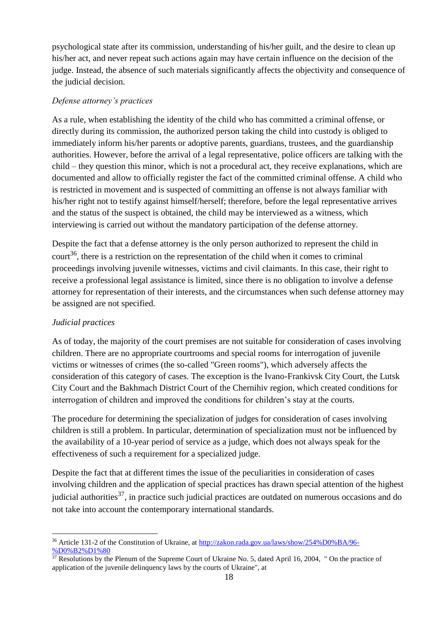psychological state after its commission, understanding of his/her guilt, and the desire to clean up his/her act, and never repeat such actions again may have certain influence on the decision of the judge. Instead, the absence of such materials significantly affects the objectivity and consequence of the judicial decision.

#### *Defense attorney's practices*

As a rule, when establishing the identity of the child who has committed a criminal offense, or directly during its commission, the authorized person taking the child into custody is obliged to immediately inform his/her parents or adoptive parents, guardians, trustees, and the guardianship authorities. However, before the arrival of a legal representative, police officers are talking with the child – they question this minor, which is not a procedural act, they receive explanations, which are documented and allow to officially register the fact of the committed criminal offense. A child who is restricted in movement and is suspected of committing an offense is not always familiar with his/her right not to testify against himself/herself; therefore, before the legal representative arrives and the status of the suspect is obtained, the child may be interviewed as a witness, which interviewing is carried out without the mandatory participation of the defense attorney.

Despite the fact that a defense attorney is the only person authorized to represent the child in court<sup>36</sup>, there is a restriction on the representation of the child when it comes to criminal proceedings involving juvenile witnesses, victims and civil claimants. In this case, their right to receive a professional legal assistance is limited, since there is no obligation to involve a defense attorney for representation of their interests, and the circumstances when such defense attorney may be assigned are not specified.

## *Judicial practices*

As of today, the majority of the court premises are not suitable for consideration of cases involving children. There are no appropriate courtrooms and special rooms for interrogation of juvenile victims or witnesses of crimes (the so-called "Green rooms"), which adversely affects the consideration of this category of cases. The exception is the Ivano-Frankivsk City Court, the Lutsk City Court and the Bakhmach District Court of the Chernihiv region, which created conditions for interrogation of children and improved the conditions for children's stay at the courts.

The procedure for determining the specialization of judges for consideration of cases involving children is still a problem. In particular, determination of specialization must not be influenced by the availability of a 10-year period of service as a judge, which does not always speak for the effectiveness of such a requirement for a specialized judge.

Despite the fact that at different times the issue of the peculiarities in consideration of cases involving children and the application of special practices has drawn special attention of the highest judicial authorities<sup>37</sup>, in practice such judicial practices are outdated on numerous occasions and do not take into account the contemporary international standards.

 $\overline{a}$ <sup>36</sup> Article 131-2 of the Constitution of Ukraine, at [http://zakon.rada.gov.ua/laws/show/254%D0%BA/96-](http://zakon.rada.gov.ua/laws/show/254%D0%BA/96-%D0%B2%D1%80) [%D0%B2%D1%80](http://zakon.rada.gov.ua/laws/show/254%D0%BA/96-%D0%B2%D1%80)

 $37$  Resolutions by the Plenum of the Supreme Court of Ukraine No. 5, dated April 16, 2004, " On the practice of application of the juvenile delinquency laws by the courts of Ukraine", at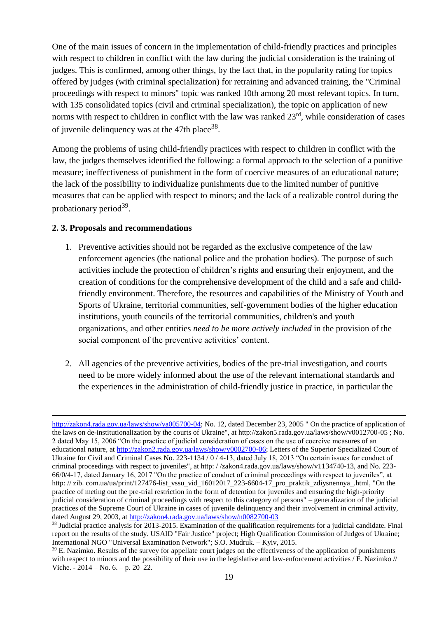One of the main issues of concern in the implementation of child-friendly practices and principles with respect to children in conflict with the law during the judicial consideration is the training of judges. This is confirmed, among other things, by the fact that, in the popularity rating for topics offered by judges (with criminal specialization) for retraining and advanced training, the "Criminal proceedings with respect to minors" topic was ranked 10th among 20 most relevant topics. In turn, with 135 consolidated topics (civil and criminal specialization), the topic on application of new norms with respect to children in conflict with the law was ranked  $23<sup>rd</sup>$ , while consideration of cases of juvenile delinquency was at the 47th place<sup>38</sup>.

Among the problems of using child-friendly practices with respect to children in conflict with the law, the judges themselves identified the following: a formal approach to the selection of a punitive measure; ineffectiveness of punishment in the form of coercive measures of an educational nature; the lack of the possibility to individualize punishments due to the limited number of punitive measures that can be applied with respect to minors; and the lack of a realizable control during the probationary period<sup>39</sup>.

#### **2. 3. Proposals and recommendations**

- 1. Preventive activities should not be regarded as the exclusive competence of the law enforcement agencies (the national police and the probation bodies). The purpose of such activities include the protection of children's rights and ensuring their enjoyment, and the creation of conditions for the comprehensive development of the child and a safe and childfriendly environment. Therefore, the resources and capabilities of the Ministry of Youth and Sports of Ukraine, territorial communities, self-government bodies of the higher education institutions, youth councils of the territorial communities, children's and youth organizations, and other entities *need to be more actively included* in the provision of the social component of the preventive activities' content.
- 2. All agencies of the preventive activities, bodies of the pre-trial investigation, and courts need to be more widely informed about the use of the relevant international standards and the experiences in the administration of child-friendly justice in practice, in particular the

[http://zakon4.rada.gov.ua/laws/show/va005700-04;](http://zakon4.rada.gov.ua/laws/show/va005700-04) No. 12, dated December 23, 2005 " On the practice of application of the laws on de-institutionalization by the courts of Ukraine", at http://zakon5.rada.gov.ua/laws/show/v0012700-05 ; No. 2 dated May 15, 2006 "On the practice of judicial consideration of cases on the use of coercive measures of an educational nature, at [http://zakon2.rada.gov.ua/laws/show/v0002700-06;](http://zakon2.rada.gov.ua/laws/show/v0002700-06) Letters of the Superior Specialized Court of Ukraine for Civil and Criminal Cases No. 223-1134 / 0 / 4-13, dated July 18, 2013 "On certain issues for conduct of criminal proceedings with respect to juveniles", at http: / /zakon4.rada.gov.ua/laws/show/v1134740-13, and No. 223- 66/0/4-17, dated January 16, 2017 "On the practice of conduct of criminal proceedings with respect to juveniles", at http: // zib. com.ua/ua/print/127476-list\_vssu\_vid\_16012017\_223-6604-17\_pro\_praktik\_zdiysnennya\_.html, "On the practice of meting out the pre-trial restriction in the form of detention for juveniles and ensuring the high-priority judicial consideration of criminal proceedings with respect to this category of persons" – generalization of the judicial practices of the Supreme Court of Ukraine in cases of juvenile delinquency and their involvement in criminal activity, dated August 29, 2003, at<http://zakon4.rada.gov.ua/laws/show/n0082700-03>

<sup>38</sup> Judicial practice analysis for 2013-2015. Examination of the qualification requirements for a judicial candidate. Final report on the results of the study. USAID "Fair Justice" project; High Qualification Commission of Judges of Ukraine; International NGO "Universal Examination Network"; S.O. Mudruk. – Kyiv, 2015.

 $39$  E. Nazimko. Results of the survey for appellate court judges on the effectiveness of the application of punishments with respect to minors and the possibility of their use in the legislative and law-enforcement activities / E. Nazimko // Viche. - 2014 – No. 6. – p. 20–22.